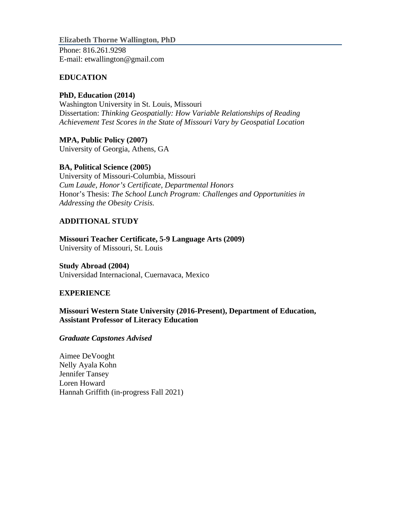**Elizabeth Thorne Wallington, PhD** Phone: 816.261.9298 E-m[ail: etwallington@gmail.com](mailto:etwallington@gmail.com)

### **EDUCATION**

## **PhD, Education (2014)**

Washington University in St. Louis, Missouri Dissertation: *Thinking Geospatially: How Variable Relationships of Reading Achievement Test Scores in the State of Missouri Vary by Geospatial Location*

**MPA, Public Policy (2007)** University of Georgia, Athens, GA

### **BA, Political Science (2005)**

University of Missouri-Columbia, Missouri *Cum Laude, Honor's Certificate, Departmental Honors* Honor's Thesis: *The School Lunch Program: Challenges and Opportunities in Addressing the Obesity Crisis.*

# **ADDITIONAL STUDY**

**Missouri Teacher Certificate, 5-9 Language Arts (2009)** University of Missouri, St. Louis

### **Study Abroad (2004)**

Universidad Internacional, Cuernavaca, Mexico

### **EXPERIENCE**

**Missouri Western State University (2016-Present), Department of Education, Assistant Professor of Literacy Education**

### *Graduate Capstones Advised*

Aimee DeVooght Nelly Ayala Kohn Jennifer Tansey Loren Howard Hannah Griffith (in-progress Fall 2021)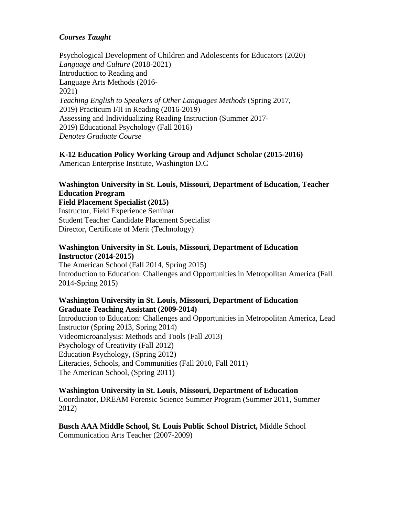### *Courses Taught*

Psychological Development of Children and Adolescents for Educators (2020) *Language and Culture* (2018-2021) Introduction to Reading and Language Arts Methods (2016- 2021) *Teaching English to Speakers of Other Languages Methods* (Spring 2017, 2019) Practicum I/II in Reading (2016-2019) Assessing and Individualizing Reading Instruction (Summer 2017- 2019) Educational Psychology (Fall 2016) *Denotes Graduate Course*

**K-12 Education Policy Working Group and Adjunct Scholar (2015-2016)** American Enterprise Institute, Washington D.C

# **Washington University in St. Louis, Missouri, Department of Education, Teacher Education Program**

**Field Placement Specialist (2015)** Instructor, Field Experience Seminar Student Teacher Candidate Placement Specialist Director, Certificate of Merit (Technology)

#### **Washington University in St. Louis, Missouri, Department of Education Instructor (2014-2015)**

The American School (Fall 2014, Spring 2015) Introduction to Education: Challenges and Opportunities in Metropolitan America (Fall 2014-Spring 2015)

#### **Washington University in St. Louis, Missouri, Department of Education Graduate Teaching Assistant (2009-2014)**

Introduction to Education: Challenges and Opportunities in Metropolitan America, Lead Instructor (Spring 2013, Spring 2014) Videomicroanalysis: Methods and Tools (Fall 2013) Psychology of Creativity (Fall 2012) Education Psychology, (Spring 2012) Literacies, Schools, and Communities (Fall 2010, Fall 2011) The American School, (Spring 2011)

#### **Washington University in St. Louis**, **Missouri, Department of Education**  Coordinator, DREAM Forensic Science Summer Program (Summer 2011, Summer 2012)

**Busch AAA Middle School, St. Louis Public School District,** Middle School Communication Arts Teacher (2007-2009)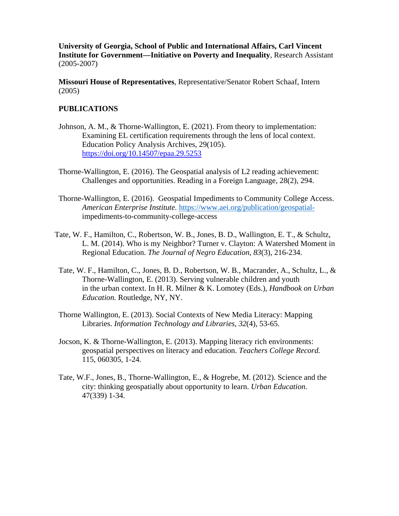**University of Georgia, School of Public and International Affairs, Carl Vincent Institute for Government—Initiative on Poverty and Inequality**, Research Assistant (2005-2007)

**Missouri House of Representatives**, Representative/Senator Robert Schaaf, Intern (2005)

#### **PUBLICATIONS**

- Johnson, A. M., & Thorne-Wallington, E. (2021). From theory to implementation: Examining EL certification requirements through the lens of local context. Education Policy Analysis Archives, 29(105). <https://doi.org/10.14507/epaa.29.5253>
- Thorne-Wallington, E. (2016). The Geospatial analysis of L2 reading achievement: Challenges and opportunities. Reading in a Foreign Language, 28(2), 294.
- Thorne-Wallington, E. (2016). Geospatial Impediments to Community College Access. *American Enterprise Institute.* [https://www.aei.org/publication/geospatial](https://www.aei.org/publication/geospatial-)impediments-to-community-college-access
- Tate, W. F., Hamilton, C., Robertson, W. B., Jones, B. D., Wallington, E. T., & Schultz, L. M. (2014). Who is my Neighbor? Turner v. Clayton: A Watershed Moment in Regional Education. *The Journal of Negro Education*, *83*(3), 216-234.
	- Tate, W. F., Hamilton, C., Jones, B. D., Robertson, W. B., Macrander, A., Schultz, L., & Thorne-Wallington, E. (2013). Serving vulnerable children and youth in the urban context. In H. R. Milner & K. Lomotey (Eds.), *Handbook on Urban Education.* Routledge, NY, NY.
	- Thorne Wallington, E. (2013). Social Contexts of New Media Literacy: Mapping Libraries. *Information Technology and Libraries*, *32*(4), 53-65.
	- Jocson, K. & Thorne-Wallington, E. (2013). Mapping literacy rich environments: geospatial perspectives on literacy and education. *Teachers College Record.*  115, 060305, 1-24.
	- Tate, W.F., Jones, B., Thorne-Wallington, E., & Hogrebe, M. (2012). Science and the city: thinking geospatially about opportunity to learn. *Urban Education*. 47(339) 1-34.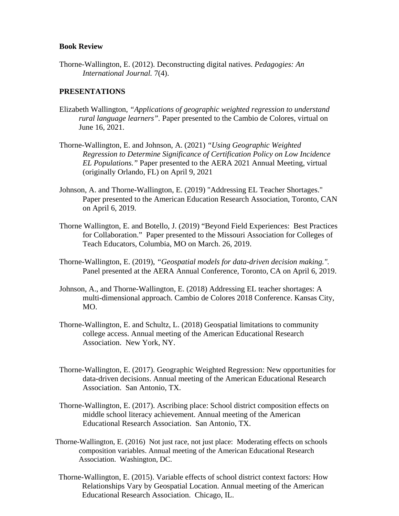#### **Book Review**

Thorne-Wallington, E. (2012). Deconstructing digital natives. *Pedagogies: An International Journal.* 7(4).

#### **PRESENTATIONS**

- Elizabeth Wallington, *"Applications of geographic weighted regression to understand rural language learners".* Paper presented to the Cambio de Colores, virtual on June 16, 2021.
- Thorne-Wallington, E. and Johnson, A. (2021) *"Using Geographic Weighted Regression to Determine Significance of Certification Policy on Low Incidence EL Populations."* Paper presented to the AERA 2021 Annual Meeting, virtual (originally Orlando, FL) on April 9, 2021
- Johnson, A. and Thorne-Wallington, E. (2019) "Addressing EL Teacher Shortages." Paper presented to the American Education Research Association, Toronto, CAN on April 6, 2019.
- Thorne Wallington, E. and Botello, J. (2019) "Beyond Field Experiences: Best Practices for Collaboration." Paper presented to the Missouri Association for Colleges of Teach Educators, Columbia, MO on March. 26, 2019.
- Thorne-Wallington, E. (2019), *"Geospatial models for data-driven decision making.".* Panel presented at the AERA Annual Conference, Toronto, CA on April 6, 2019.
- Johnson, A., and Thorne-Wallington, E. (2018) Addressing EL teacher shortages: A multi-dimensional approach. Cambio de Colores 2018 Conference. Kansas City, MO.
- Thorne-Wallington, E. and Schultz, L. (2018) Geospatial limitations to community college access. Annual meeting of the American Educational Research Association. New York, NY.
- Thorne-Wallington, E. (2017). Geographic Weighted Regression: New opportunities for data-driven decisions. Annual meeting of the American Educational Research Association. San Antonio, TX.
- Thorne-Wallington, E. (2017). Ascribing place: School district composition effects on middle school literacy achievement. Annual meeting of the American Educational Research Association. San Antonio, TX.
- Thorne-Wallington, E. (2016) Not just race, not just place: Moderating effects on schools composition variables. Annual meeting of the American Educational Research Association. Washington, DC.
- Thorne-Wallington, E. (2015). Variable effects of school district context factors: How Relationships Vary by Geospatial Location. Annual meeting of the American Educational Research Association. Chicago, IL.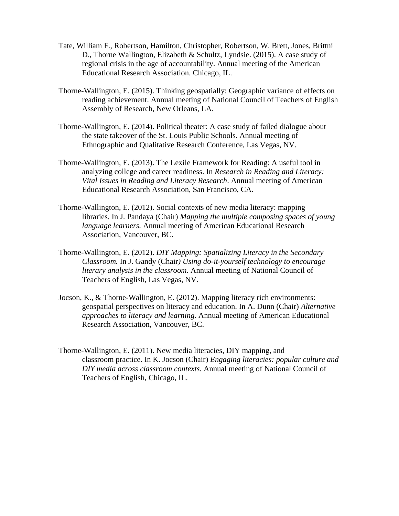- Tate, William F., Robertson, Hamilton, Christopher, Robertson, W. Brett, Jones, Brittni D., Thorne Wallington, Elizabeth & Schultz, Lyndsie. (2015). A case study of regional crisis in the age of accountability. Annual meeting of the American Educational Research Association. Chicago, IL.
- Thorne-Wallington, E. (2015). Thinking geospatially: Geographic variance of effects on reading achievement. Annual meeting of National Council of Teachers of English Assembly of Research, New Orleans, LA.
- Thorne-Wallington, E. (2014). Political theater: A case study of failed dialogue about the state takeover of the St. Louis Public Schools. Annual meeting of Ethnographic and Qualitative Research Conference, Las Vegas, NV.
- Thorne-Wallington, E. (2013). The Lexile Framework for Reading: A useful tool in analyzing college and career readiness. In *Research in Reading and Literacy: Vital Issues in Reading and Literacy Research*. Annual meeting of American Educational Research Association, San Francisco, CA.
- Thorne-Wallington, E. (2012). Social contexts of new media literacy: mapping libraries. In J. Pandaya (Chair) *Mapping the multiple composing spaces of young language learners.* Annual meeting of American Educational Research Association, Vancouver, BC.
- Thorne-Wallington, E. (2012). *DIY Mapping: Spatializing Literacy in the Secondary Classroom.* In J. Gandy (Chair*) Using do-it-yourself technology to encourage literary analysis in the classroom.* Annual meeting of National Council of Teachers of English, Las Vegas, NV.
- Jocson, K., & Thorne-Wallington, E. (2012). Mapping literacy rich environments: geospatial perspectives on literacy and education. In A. Dunn (Chair) *Alternative approaches to literacy and learning.* Annual meeting of American Educational Research Association, Vancouver, BC.
- Thorne-Wallington, E. (2011). New media literacies, DIY mapping, and classroom practice. In K. Jocson (Chair) *Engaging literacies: popular culture and DIY media across classroom contexts.* Annual meeting of National Council of Teachers of English, Chicago, IL.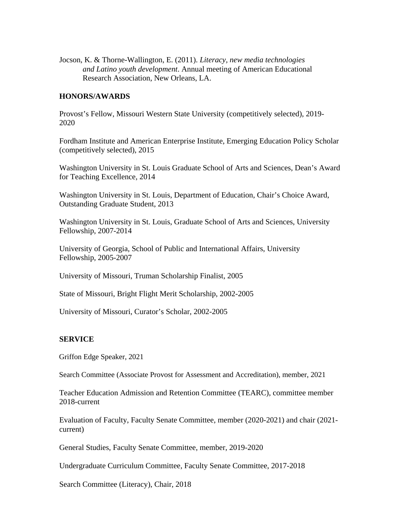Jocson, K. & Thorne-Wallington, E. (2011). *Literacy, new media technologies and Latino youth development*. Annual meeting of American Educational Research Association, New Orleans, LA.

#### **HONORS/AWARDS**

Provost's Fellow, Missouri Western State University (competitively selected), 2019- 2020

Fordham Institute and American Enterprise Institute, Emerging Education Policy Scholar (competitively selected), 2015

Washington University in St. Louis Graduate School of Arts and Sciences, Dean's Award for Teaching Excellence, 2014

Washington University in St. Louis, Department of Education, Chair's Choice Award, Outstanding Graduate Student, 2013

Washington University in St. Louis, Graduate School of Arts and Sciences, University Fellowship, 2007-2014

University of Georgia, School of Public and International Affairs, University Fellowship, 2005-2007

University of Missouri, Truman Scholarship Finalist, 2005

State of Missouri, Bright Flight Merit Scholarship, 2002-2005

University of Missouri, Curator's Scholar, 2002-2005

#### **SERVICE**

Griffon Edge Speaker, 2021

Search Committee (Associate Provost for Assessment and Accreditation), member, 2021

Teacher Education Admission and Retention Committee (TEARC), committee member 2018-current

Evaluation of Faculty, Faculty Senate Committee, member (2020-2021) and chair (2021 current)

General Studies, Faculty Senate Committee, member, 2019-2020

Undergraduate Curriculum Committee, Faculty Senate Committee, 2017-2018

Search Committee (Literacy), Chair, 2018